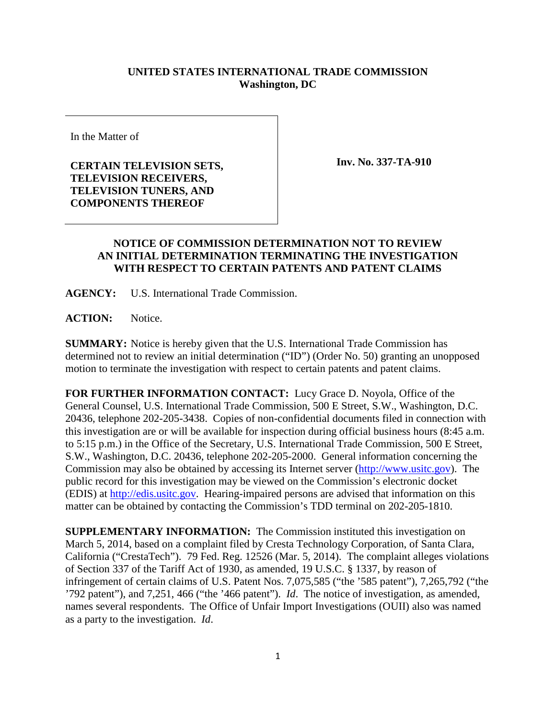## **UNITED STATES INTERNATIONAL TRADE COMMISSION Washington, DC**

In the Matter of

**CERTAIN TELEVISION SETS, TELEVISION RECEIVERS, TELEVISION TUNERS, AND COMPONENTS THEREOF** 

**Inv. No. 337-TA-910**

## **NOTICE OF COMMISSION DETERMINATION NOT TO REVIEW AN INITIAL DETERMINATION TERMINATING THE INVESTIGATION WITH RESPECT TO CERTAIN PATENTS AND PATENT CLAIMS**

**AGENCY:** U.S. International Trade Commission.

**ACTION:** Notice.

**SUMMARY:** Notice is hereby given that the U.S. International Trade Commission has determined not to review an initial determination ("ID") (Order No. 50) granting an unopposed motion to terminate the investigation with respect to certain patents and patent claims.

**FOR FURTHER INFORMATION CONTACT:** Lucy Grace D. Noyola, Office of the General Counsel, U.S. International Trade Commission, 500 E Street, S.W., Washington, D.C. 20436, telephone 202-205-3438. Copies of non-confidential documents filed in connection with this investigation are or will be available for inspection during official business hours (8:45 a.m. to 5:15 p.m.) in the Office of the Secretary, U.S. International Trade Commission, 500 E Street, S.W., Washington, D.C. 20436, telephone 202-205-2000. General information concerning the Commission may also be obtained by accessing its Internet server [\(http://www.usitc.gov\)](http://www.usitc.gov/). The public record for this investigation may be viewed on the Commission's electronic docket (EDIS) at [http://edis.usitc.gov.](http://edis.usitc.gov/) Hearing-impaired persons are advised that information on this matter can be obtained by contacting the Commission's TDD terminal on 202-205-1810.

**SUPPLEMENTARY INFORMATION:** The Commission instituted this investigation on March 5, 2014, based on a complaint filed by Cresta Technology Corporation, of Santa Clara, California ("CrestaTech"). 79 Fed. Reg. 12526 (Mar. 5, 2014). The complaint alleges violations of Section 337 of the Tariff Act of 1930, as amended, 19 U.S.C. § 1337, by reason of infringement of certain claims of U.S. Patent Nos. 7,075,585 ("the '585 patent"), 7,265,792 ("the '792 patent"), and 7,251, 466 ("the '466 patent"). *Id*. The notice of investigation, as amended, names several respondents. The Office of Unfair Import Investigations (OUII) also was named as a party to the investigation. *Id*.